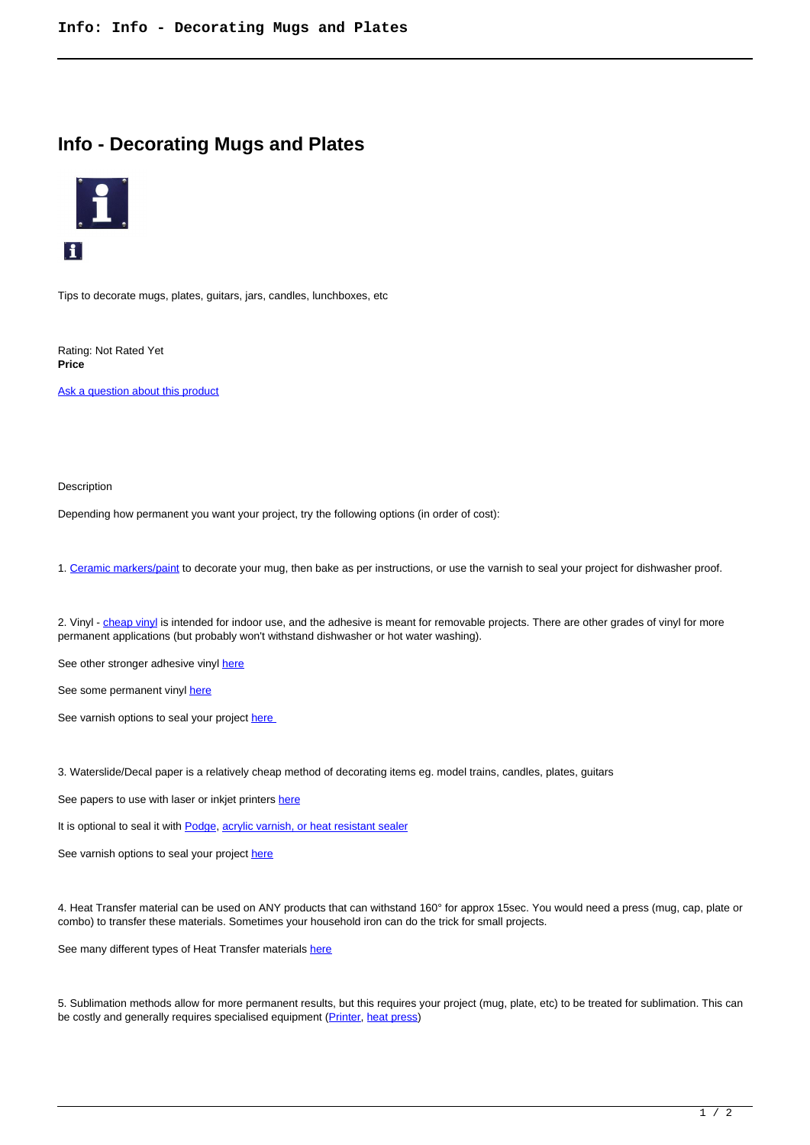## **Info - Decorating Mugs and Plates**



Tips to decorate mugs, plates, guitars, jars, candles, lunchboxes, etc

Rating: Not Rated Yet **Price** 

Ask a question about this product

Description

Depending how permanent you want your project, try the following options (in order of cost):

1. Ceramic markers/paint to decorate your mug, then bake as per instructions, or use the varnish to seal your project for dishwasher proof.

2. Vinyl - cheap vinyl is intended for indoor use, and the adhesive is meant for removable projects. There are other grades of vinyl for more permanent applications (but probably won't withstand dishwasher or hot water washing).

See other stronger adhesive vinyl here

See some permanent vinyl here

See varnish options to seal your project here

3. Waterslide/Decal paper is a relatively cheap method of decorating items eg. model trains, candles, plates, guitars

See papers to use with laser or inkjet printers here

It is optional to seal it with Podge, acrylic varnish, or heat resistant sealer

See varnish options to seal your project here

4. Heat Transfer material can be used on ANY products that can withstand 160° for approx 15sec. You would need a press (mug, cap, plate or combo) to transfer these materials. Sometimes your household iron can do the trick for small projects.

See many different types of Heat Transfer materials here

5. Sublimation methods allow for more permanent results, but this requires your project (mug, plate, etc) to be treated for sublimation. This can be costly and generally requires specialised equipment (Printer, heat press)